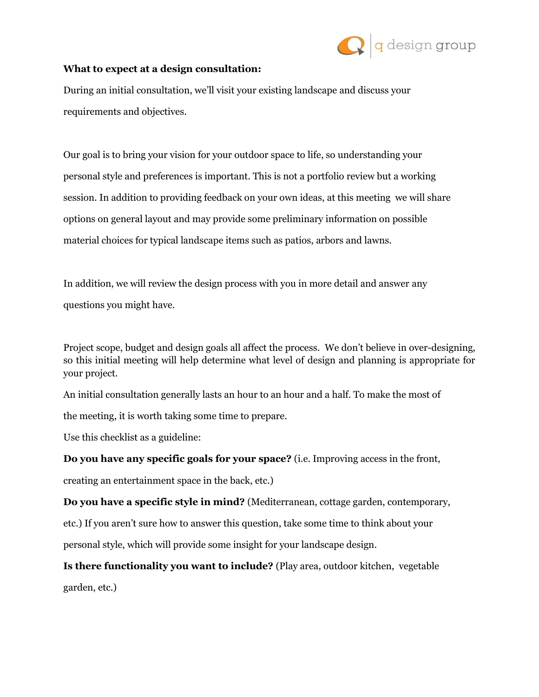

## **What to expect at a design consultation:**

During an initial consultation, we'll visit your existing landscape and discuss your requirements and objectives.

Our goal is to bring your vision for your outdoor space to life, so understanding your personal style and preferences is important. This is not a portfolio review but a working session. In addition to providing feedback on your own ideas, at this meeting we will share options on general layout and may provide some preliminary information on possible material choices for typical landscape items such as patios, arbors and lawns.

In addition, we will review the design process with you in more detail and answer any questions you might have.

Project scope, budget and design goals all affect the process. We don't believe in over-designing, so this initial meeting will help determine what level of design and planning is appropriate for your project.

An initial consultation generally lasts an hour to an hour and a half. To make the most of

the meeting, it is worth taking some time to prepare.

Use this checklist as a guideline:

**Do you have any specific goals for your space?** (i.e. Improving access in the front,

creating an entertainment space in the back, etc.)

**Do you have a specific style in mind?** (Mediterranean, cottage garden, contemporary,

etc.) If you aren't sure how to answer this question, take some time to think about your

personal style, which will provide some insight for your landscape design.

**Is there functionality you want to include?** (Play area, outdoor kitchen, vegetable garden, etc.)